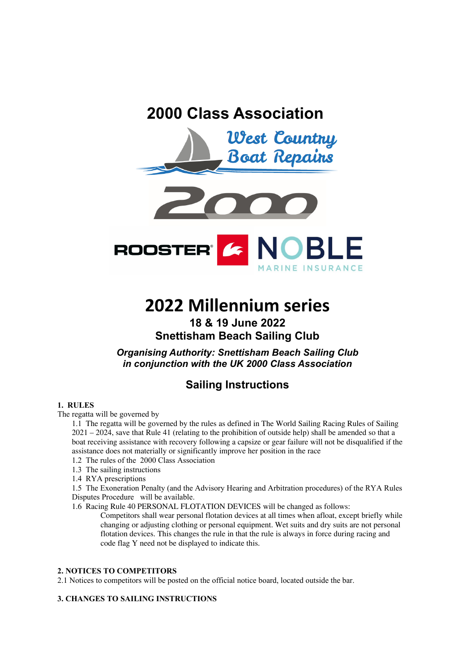





# **2022 Millennium series**

# **18 & 19 June 2022 Snettisham Beach Sailing Club**

*Organising Authority: Snettisham Beach Sailing Club in conjunction with the UK 2000 Class Association*

# **Sailing Instructions**

# **1. RULES**

The regatta will be governed by

1.1 The regatta will be governed by the rules as defined in The World Sailing Racing Rules of Sailing 2021 – 2024, save that Rule 41 (relating to the prohibition of outside help) shall be amended so that a boat receiving assistance with recovery following a capsize or gear failure will not be disqualified if the assistance does not materially or significantly improve her position in the race

- 1.2 The rules of the 2000 Class Association
- 1.3 The sailing instructions
- 1.4 RYA prescriptions

1.5 The Exoneration Penalty (and the Advisory Hearing and Arbitration procedures) of the RYA Rules Disputes Procedure will be available.

1.6 Racing Rule 40 PERSONAL FLOTATION DEVICES will be changed as follows:

Competitors shall wear personal flotation devices at all times when afloat, except briefly while changing or adjusting clothing or personal equipment. Wet suits and dry suits are not personal flotation devices. This changes the rule in that the rule is always in force during racing and code flag Y need not be displayed to indicate this.

## **2. NOTICES TO COMPETITORS**

2.1 Notices to competitors will be posted on the official notice board, located outside the bar.

# **3. CHANGES TO SAILING INSTRUCTIONS**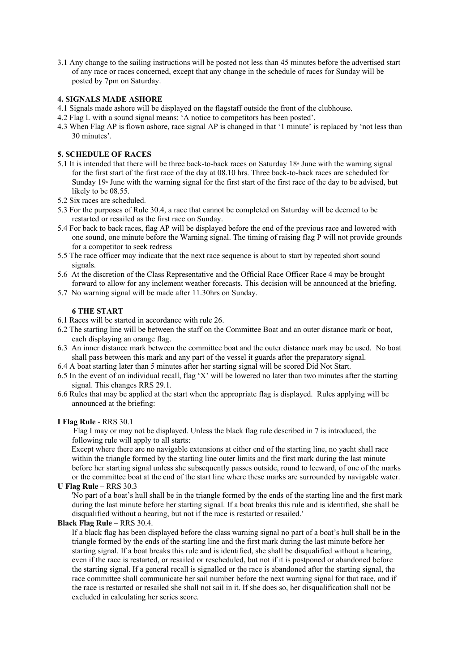3.1 Any change to the sailing instructions will be posted not less than 45 minutes before the advertised start of any race or races concerned, except that any change in the schedule of races for Sunday will be posted by 7pm on Saturday.

#### **4. SIGNALS MADE ASHORE**

- 4.1 Signals made ashore will be displayed on the flagstaff outside the front of the clubhouse.
- 4.2 Flag L with a sound signal means: 'A notice to competitors has been posted'.
- 4.3 When Flag AP is flown ashore, race signal AP is changed in that '1 minute' is replaced by 'not less than 30 minutes'.

#### **5. SCHEDULE OF RACES**

- 5.1 It is intended that there will be three back-to-back races on Saturday  $18<sup>*</sup>$  June with the warning signal for the first start of the first race of the day at 08.10 hrs. Three back-to-back races are scheduled for Sunday  $19^{\circ}$  June with the warning signal for the first start of the first race of the day to be advised, but likely to be 08.55.
- 5.2 Six races are scheduled.
- 5.3 For the purposes of Rule 30.4, a race that cannot be completed on Saturday will be deemed to be restarted or resailed as the first race on Sunday.
- 5.4 For back to back races, flag AP will be displayed before the end of the previous race and lowered with one sound, one minute before the Warning signal. The timing of raising flag P will not provide grounds for a competitor to seek redress
- 5.5 The race officer may indicate that the next race sequence is about to start by repeated short sound signals.
- 5.6 At the discretion of the Class Representative and the Official Race Officer Race 4 may be brought forward to allow for any inclement weather forecasts. This decision will be announced at the briefing.
- 5.7 No warning signal will be made after 11.30hrs on Sunday.

#### **6 THE START**

- 6.1 Races will be started in accordance with rule 26.
- 6.2 The starting line will be between the staff on the Committee Boat and an outer distance mark or boat, each displaying an orange flag.
- 6.3 An inner distance mark between the committee boat and the outer distance mark may be used. No boat shall pass between this mark and any part of the vessel it guards after the preparatory signal.
- 6.4 A boat starting later than 5 minutes after her starting signal will be scored Did Not Start.
- 6.5 In the event of an individual recall, flag 'X' will be lowered no later than two minutes after the starting signal. This changes RRS 29.1.
- 6.6 Rules that may be applied at the start when the appropriate flag is displayed. Rules applying will be announced at the briefing:

#### **I Flag Rule** - RRS 30.1

 Flag I may or may not be displayed. Unless the black flag rule described in 7 is introduced, the following rule will apply to all starts:

 Except where there are no navigable extensions at either end of the starting line, no yacht shall race within the triangle formed by the starting line outer limits and the first mark during the last minute before her starting signal unless she subsequently passes outside, round to leeward, of one of the marks or the committee boat at the end of the start line where these marks are surrounded by navigable water.

#### **U Flag Rule** – RRS 30.3

'No part of a boat's hull shall be in the triangle formed by the ends of the starting line and the first mark during the last minute before her starting signal. If a boat breaks this rule and is identified, she shall be disqualified without a hearing, but not if the race is restarted or resailed.'

## **Black Flag Rule** – RRS 30.4.

If a black flag has been displayed before the class warning signal no part of a boat's hull shall be in the triangle formed by the ends of the starting line and the first mark during the last minute before her starting signal. If a boat breaks this rule and is identified, she shall be disqualified without a hearing, even if the race is restarted, or resailed or rescheduled, but not if it is postponed or abandoned before the starting signal. If a general recall is signalled or the race is abandoned after the starting signal, the race committee shall communicate her sail number before the next warning signal for that race, and if the race is restarted or resailed she shall not sail in it. If she does so, her disqualification shall not be excluded in calculating her series score.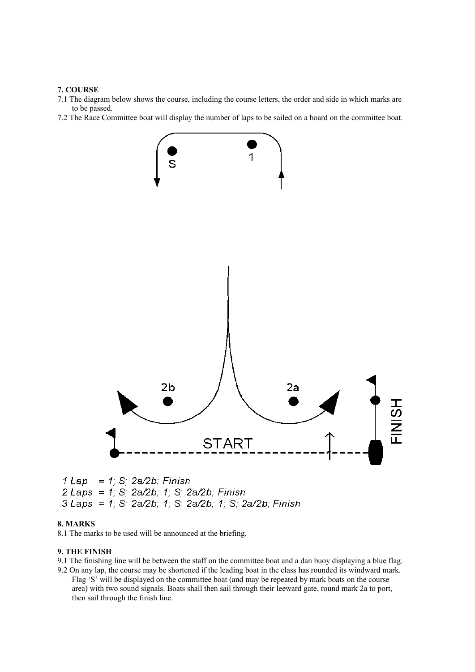#### **7. COURSE**

- 7.1 The diagram below shows the course, including the course letters, the order and side in which marks are to be passed.
- 7.2 The Race Committee boat will display the number of laps to be sailed on a board on the committee boat.



#### **8. MARKS**

8.1 The marks to be used will be announced at the briefing.

#### **9. THE FINISH**

- 9.1 The finishing line will be between the staff on the committee boat and a dan buoy displaying a blue flag. 9.2 On any lap, the course may be shortened if the leading boat in the class has rounded its windward mark.
- Flag 'S' will be displayed on the committee boat (and may be repeated by mark boats on the course area) with two sound signals. Boats shall then sail through their leeward gate, round mark 2a to port, then sail through the finish line.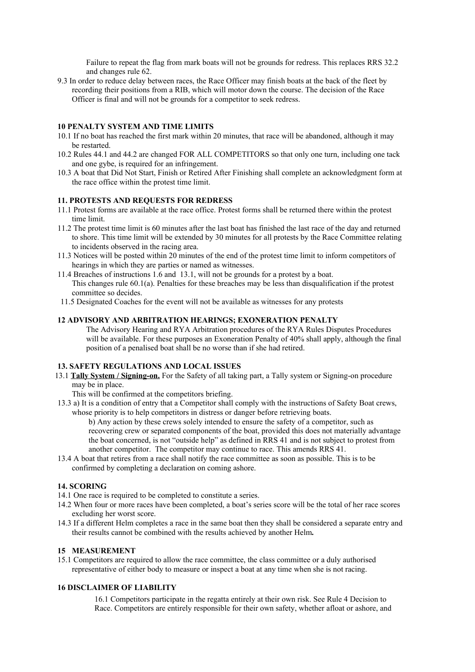Failure to repeat the flag from mark boats will not be grounds for redress. This replaces RRS 32.2 and changes rule 62.

9.3 In order to reduce delay between races, the Race Officer may finish boats at the back of the fleet by recording their positions from a RIB, which will motor down the course. The decision of the Race Officer is final and will not be grounds for a competitor to seek redress.

# **10 PENALTY SYSTEM AND TIME LIMITS**

- 10.1 If no boat has reached the first mark within 20 minutes, that race will be abandoned, although it may be restarted.
- 10.2 Rules 44.1 and 44.2 are changed FOR ALL COMPETITORS so that only one turn, including one tack and one gybe, is required for an infringement.
- 10.3 A boat that Did Not Start, Finish or Retired After Finishing shall complete an acknowledgment form at the race office within the protest time limit.

#### **11. PROTESTS AND REQUESTS FOR REDRESS**

- 11.1 Protest forms are available at the race office. Protest forms shall be returned there within the protest time limit.
- 11.2 The protest time limit is 60 minutes after the last boat has finished the last race of the day and returned to shore. This time limit will be extended by 30 minutes for all protests by the Race Committee relating to incidents observed in the racing area.
- 11.3 Notices will be posted within 20 minutes of the end of the protest time limit to inform competitors of hearings in which they are parties or named as witnesses.
- 11.4 Breaches of instructions 1.6 and 13.1, will not be grounds for a protest by a boat. This changes rule 60.1(a). Penalties for these breaches may be less than disqualification if the protest committee so decides.
- 11.5 Designated Coaches for the event will not be available as witnesses for any protests

#### **12 ADVISORY AND ARBITRATION HEARINGS; EXONERATION PENALTY**

The Advisory Hearing and RYA Arbitration procedures of the RYA Rules Disputes Procedures will be available. For these purposes an Exoneration Penalty of 40% shall apply, although the final position of a penalised boat shall be no worse than if she had retired.

#### **13. SAFETY REGULATIONS AND LOCAL ISSUES**

- 13.1 **Tally System / Signing-on.** For the Safety of all taking part, a Tally system or Signing-on procedure may be in place.
	- This will be confirmed at the competitors briefing.
- 13.3 a) It is a condition of entry that a Competitor shall comply with the instructions of Safety Boat crews, whose priority is to help competitors in distress or danger before retrieving boats.

b) Any action by these crews solely intended to ensure the safety of a competitor, such as recovering crew or separated components of the boat, provided this does not materially advantage the boat concerned, is not "outside help" as defined in RRS 41 and is not subject to protest from another competitor. The competitor may continue to race. This amends RRS 41.

13.4 A boat that retires from a race shall notify the race committee as soon as possible. This is to be confirmed by completing a declaration on coming ashore.

## **14. SCORING**

14.1 One race is required to be completed to constitute a series.

- 14.2 When four or more races have been completed, a boat's series score will be the total of her race scores excluding her worst score.
- 14.3 If a different Helm completes a race in the same boat then they shall be considered a separate entry and their results cannot be combined with the results achieved by another Helm*.*

#### **15 MEASUREMENT**

15.1 Competitors are required to allow the race committee, the class committee or a duly authorised representative of either body to measure or inspect a boat at any time when she is not racing.

#### **16 DISCLAIMER OF LIABILITY**

16.1 Competitors participate in the regatta entirely at their own risk. See Rule 4 Decision to Race. Competitors are entirely responsible for their own safety, whether afloat or ashore, and